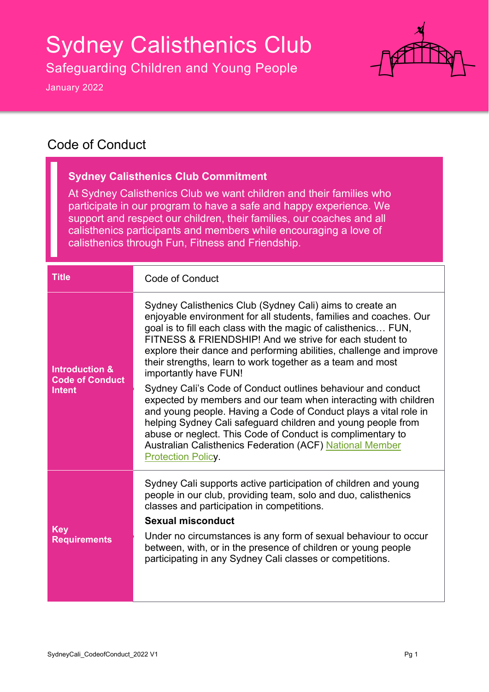# Sydney Calisthenics Club

Safeguarding Children and Young People

January 2022



### Code of Conduct

| <b>Sydney Calisthenics Club Commitment</b><br>At Sydney Calisthenics Club we want children and their families who<br>participate in our program to have a safe and happy experience. We<br>support and respect our children, their families, our coaches and all<br>calisthenics participants and members while encouraging a love of<br>calisthenics through Fun, Fitness and Friendship. |                                                                                                                                                                                                                                                                                                                                                                                                                                                                                                                                                                                                                                                                                                                                                                                                                                                               |
|--------------------------------------------------------------------------------------------------------------------------------------------------------------------------------------------------------------------------------------------------------------------------------------------------------------------------------------------------------------------------------------------|---------------------------------------------------------------------------------------------------------------------------------------------------------------------------------------------------------------------------------------------------------------------------------------------------------------------------------------------------------------------------------------------------------------------------------------------------------------------------------------------------------------------------------------------------------------------------------------------------------------------------------------------------------------------------------------------------------------------------------------------------------------------------------------------------------------------------------------------------------------|
| <b>Title</b>                                                                                                                                                                                                                                                                                                                                                                               | <b>Code of Conduct</b>                                                                                                                                                                                                                                                                                                                                                                                                                                                                                                                                                                                                                                                                                                                                                                                                                                        |
| <b>Introduction &amp;</b><br><b>Code of Conduct</b><br><b>Intent</b>                                                                                                                                                                                                                                                                                                                       | Sydney Calisthenics Club (Sydney Cali) aims to create an<br>enjoyable environment for all students, families and coaches. Our<br>goal is to fill each class with the magic of calisthenics FUN,<br>FITNESS & FRIENDSHIP! And we strive for each student to<br>explore their dance and performing abilities, challenge and improve<br>their strengths, learn to work together as a team and most<br>importantly have FUN!<br>Sydney Cali's Code of Conduct outlines behaviour and conduct<br>expected by members and our team when interacting with children<br>and young people. Having a Code of Conduct plays a vital role in<br>helping Sydney Cali safeguard children and young people from<br>abuse or neglect. This Code of Conduct is complimentary to<br><b>Australian Calisthenics Federation (ACF) National Member</b><br><b>Protection Policy.</b> |
| <b>Key</b><br><b>Requirements</b>                                                                                                                                                                                                                                                                                                                                                          | Sydney Cali supports active participation of children and young<br>people in our club, providing team, solo and duo, calisthenics<br>classes and participation in competitions.<br><b>Sexual misconduct</b><br>Under no circumstances is any form of sexual behaviour to occur<br>between, with, or in the presence of children or young people<br>participating in any Sydney Cali classes or competitions.                                                                                                                                                                                                                                                                                                                                                                                                                                                  |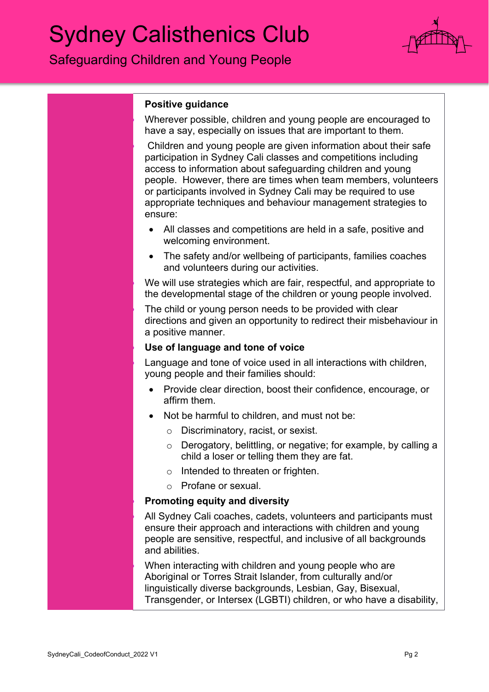## Sydney Calisthenics Club

Safeguarding Children and Young People



#### **Positive guidance**

• Wherever possible, children and young people are encouraged to have a say, especially on issues that are important to them.

• Children and young people are given information about their safe participation in Sydney Cali classes and competitions including access to information about safeguarding children and young people. However, there are times when team members, volunteers or participants involved in Sydney Cali may be required to use appropriate techniques and behaviour management strategies to ensure:

- All classes and competitions are held in a safe, positive and welcoming environment.
- The safety and/or wellbeing of participants, families coaches and volunteers during our activities.

We will use strategies which are fair, respectful, and appropriate to the developmental stage of the children or young people involved.

The child or young person needs to be provided with clear directions and given an opportunity to redirect their misbehaviour in a positive manner.

#### • **Use of language and tone of voice**

Language and tone of voice used in all interactions with children, young people and their families should:

- Provide clear direction, boost their confidence, encourage, or affirm them.
- Not be harmful to children, and must not be:
	- o Discriminatory, racist, or sexist.
	- o Derogatory, belittling, or negative; for example, by calling a child a loser or telling them they are fat.
	- o Intended to threaten or frighten.
	- o Profane or sexual.

#### • **Promoting equity and diversity**

All Sydney Cali coaches, cadets, volunteers and participants must ensure their approach and interactions with children and young people are sensitive, respectful, and inclusive of all backgrounds and abilities.

When interacting with children and young people who are Aboriginal or Torres Strait Islander, from culturally and/or linguistically diverse backgrounds, Lesbian, Gay, Bisexual, Transgender, or Intersex (LGBTI) children, or who have a disability,